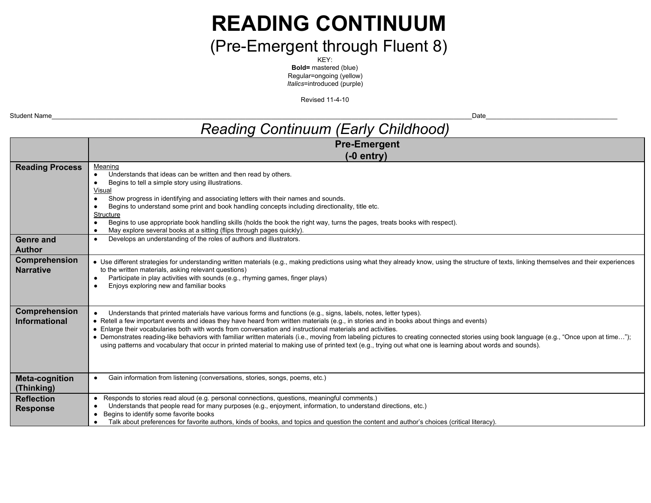# **READING CONTINUUM**

## (Pre-Emergent through Fluent 8)

KEY: **Bold=** mastered (blue) Regular=ongoing (yellow) *Italics*=introduced (purple)

**Revised 11-4-10** 

| Student Name                               | Date                                                                                                                                                                                                                                                                                                                                                                                                                                                                                                                                                                                                                                                                                                                                 |  |  |  |
|--------------------------------------------|--------------------------------------------------------------------------------------------------------------------------------------------------------------------------------------------------------------------------------------------------------------------------------------------------------------------------------------------------------------------------------------------------------------------------------------------------------------------------------------------------------------------------------------------------------------------------------------------------------------------------------------------------------------------------------------------------------------------------------------|--|--|--|
| <b>Reading Continuum (Early Childhood)</b> |                                                                                                                                                                                                                                                                                                                                                                                                                                                                                                                                                                                                                                                                                                                                      |  |  |  |
|                                            | <b>Pre-Emergent</b>                                                                                                                                                                                                                                                                                                                                                                                                                                                                                                                                                                                                                                                                                                                  |  |  |  |
|                                            | $(-0$ entry)                                                                                                                                                                                                                                                                                                                                                                                                                                                                                                                                                                                                                                                                                                                         |  |  |  |
| <b>Reading Process</b>                     | Meaning<br>Understands that ideas can be written and then read by others.<br>Begins to tell a simple story using illustrations.<br>Visual<br>Show progress in identifying and associating letters with their names and sounds.<br>$\bullet$<br>Begins to understand some print and book handling concepts including directionality, title etc.<br>Structure<br>Begins to use appropriate book handling skills (holds the book the right way, turns the pages, treats books with respect).<br>May explore several books at a sitting (flips through pages quickly).                                                                                                                                                                   |  |  |  |
| <b>Genre and</b>                           | Develops an understanding of the roles of authors and illustrators.                                                                                                                                                                                                                                                                                                                                                                                                                                                                                                                                                                                                                                                                  |  |  |  |
| <b>Author</b>                              |                                                                                                                                                                                                                                                                                                                                                                                                                                                                                                                                                                                                                                                                                                                                      |  |  |  |
| Comprehension<br><b>Narrative</b>          | • Use different strategies for understanding written materials (e.g., making predictions using what they already know, using the structure of texts, linking themselves and their experiences<br>to the written materials, asking relevant questions)<br>Participate in play activities with sounds (e.g., rhyming games, finger plays)<br>Enjoys exploring new and familiar books                                                                                                                                                                                                                                                                                                                                                   |  |  |  |
| Comprehension<br>Informational             | Understands that printed materials have various forms and functions (e.g., signs, labels, notes, letter types).<br>• Retell a few important events and ideas they have heard from written materials (e.g., in stories and in books about things and events)<br>• Enlarge their vocabularies both with words from conversation and instructional materials and activities.<br>· Demonstrates reading-like behaviors with familiar written materials (i.e., moving from labeling pictures to creating connected stories using book language (e.g., "Once upon at time");<br>using patterns and vocabulary that occur in printed material to making use of printed text (e.g., trying out what one is learning about words and sounds). |  |  |  |
| <b>Meta-cognition</b><br>(Thinking)        | Gain information from listening (conversations, stories, songs, poems, etc.)                                                                                                                                                                                                                                                                                                                                                                                                                                                                                                                                                                                                                                                         |  |  |  |
| <b>Reflection</b><br><b>Response</b>       | Responds to stories read aloud (e.g. personal connections, questions, meaningful comments.)<br>Understands that people read for many purposes (e.g., enjoyment, information, to understand directions, etc.)<br>Begins to identify some favorite books<br>Talk about preferences for favorite authors, kinds of books, and topics and question the content and author's choices (critical literacy).                                                                                                                                                                                                                                                                                                                                 |  |  |  |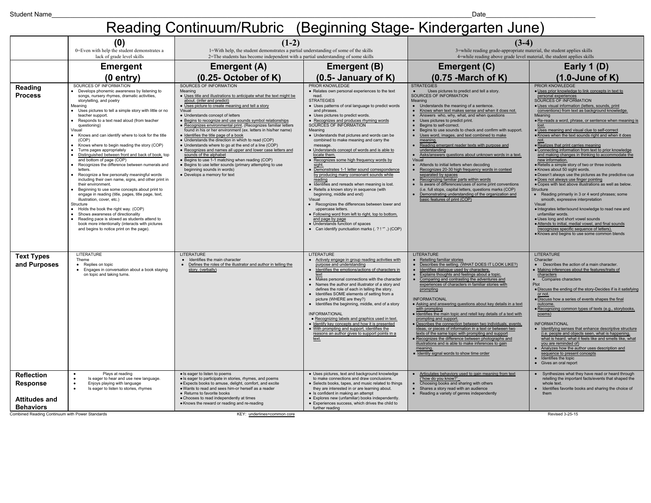### Reading Continuum/Rubric (Beginning Stage-Kindergarten June)

|                                                                                                                                     | (0)<br>0=Even with help the student demonstrates a                                                                                                                                                                                                                                                                                                                                                                                                                                                                                                                                                                                                                                                                                                                                                                                                                                                                                                                                                                                                                                                                        | $(1-2)$<br>1=With help, the student demonstrates a partial understanding of some of the skills                                                                                                                                                                                                                                                                                                                                                                                                                                                                                                                                                                                                                                                                                                                                                                         |                                                                                                                                                                                                                                                                                                                                                                                                                                                                                                                                                                                                                                                                                                                                                                                                                                                                                                                                                                                                                 | $(3-4)$<br>3=while reading grade-appropriate material, the student applies skills                                                                                                                                                                                                                                                                                                                                                                                                                                                                                                                                                                                                                                                                                                                                                                                                                                                                                     |                                                                                                                                                                                                                                                                                                                                                                                                                                                                                                                                                                                                                                                                                                                                                                                                                                                                                                                                                                                                                                                                                                                                                                                                                                              |
|-------------------------------------------------------------------------------------------------------------------------------------|---------------------------------------------------------------------------------------------------------------------------------------------------------------------------------------------------------------------------------------------------------------------------------------------------------------------------------------------------------------------------------------------------------------------------------------------------------------------------------------------------------------------------------------------------------------------------------------------------------------------------------------------------------------------------------------------------------------------------------------------------------------------------------------------------------------------------------------------------------------------------------------------------------------------------------------------------------------------------------------------------------------------------------------------------------------------------------------------------------------------------|------------------------------------------------------------------------------------------------------------------------------------------------------------------------------------------------------------------------------------------------------------------------------------------------------------------------------------------------------------------------------------------------------------------------------------------------------------------------------------------------------------------------------------------------------------------------------------------------------------------------------------------------------------------------------------------------------------------------------------------------------------------------------------------------------------------------------------------------------------------------|-----------------------------------------------------------------------------------------------------------------------------------------------------------------------------------------------------------------------------------------------------------------------------------------------------------------------------------------------------------------------------------------------------------------------------------------------------------------------------------------------------------------------------------------------------------------------------------------------------------------------------------------------------------------------------------------------------------------------------------------------------------------------------------------------------------------------------------------------------------------------------------------------------------------------------------------------------------------------------------------------------------------|-----------------------------------------------------------------------------------------------------------------------------------------------------------------------------------------------------------------------------------------------------------------------------------------------------------------------------------------------------------------------------------------------------------------------------------------------------------------------------------------------------------------------------------------------------------------------------------------------------------------------------------------------------------------------------------------------------------------------------------------------------------------------------------------------------------------------------------------------------------------------------------------------------------------------------------------------------------------------|----------------------------------------------------------------------------------------------------------------------------------------------------------------------------------------------------------------------------------------------------------------------------------------------------------------------------------------------------------------------------------------------------------------------------------------------------------------------------------------------------------------------------------------------------------------------------------------------------------------------------------------------------------------------------------------------------------------------------------------------------------------------------------------------------------------------------------------------------------------------------------------------------------------------------------------------------------------------------------------------------------------------------------------------------------------------------------------------------------------------------------------------------------------------------------------------------------------------------------------------|
|                                                                                                                                     | lack of grade level skills                                                                                                                                                                                                                                                                                                                                                                                                                                                                                                                                                                                                                                                                                                                                                                                                                                                                                                                                                                                                                                                                                                | 2=The students has become independent with a partial understanding of some skills                                                                                                                                                                                                                                                                                                                                                                                                                                                                                                                                                                                                                                                                                                                                                                                      |                                                                                                                                                                                                                                                                                                                                                                                                                                                                                                                                                                                                                                                                                                                                                                                                                                                                                                                                                                                                                 | 4=while reading above grade level material, the student applies skills                                                                                                                                                                                                                                                                                                                                                                                                                                                                                                                                                                                                                                                                                                                                                                                                                                                                                                |                                                                                                                                                                                                                                                                                                                                                                                                                                                                                                                                                                                                                                                                                                                                                                                                                                                                                                                                                                                                                                                                                                                                                                                                                                              |
|                                                                                                                                     | <b>Emergent</b>                                                                                                                                                                                                                                                                                                                                                                                                                                                                                                                                                                                                                                                                                                                                                                                                                                                                                                                                                                                                                                                                                                           | <b>Emergent (A)</b>                                                                                                                                                                                                                                                                                                                                                                                                                                                                                                                                                                                                                                                                                                                                                                                                                                                    | <b>Emergent (B)</b>                                                                                                                                                                                                                                                                                                                                                                                                                                                                                                                                                                                                                                                                                                                                                                                                                                                                                                                                                                                             | Emergent (C)                                                                                                                                                                                                                                                                                                                                                                                                                                                                                                                                                                                                                                                                                                                                                                                                                                                                                                                                                          | Early $1(D)$                                                                                                                                                                                                                                                                                                                                                                                                                                                                                                                                                                                                                                                                                                                                                                                                                                                                                                                                                                                                                                                                                                                                                                                                                                 |
|                                                                                                                                     | $(0$ entry)                                                                                                                                                                                                                                                                                                                                                                                                                                                                                                                                                                                                                                                                                                                                                                                                                                                                                                                                                                                                                                                                                                               | $(0.25 - October of K)$                                                                                                                                                                                                                                                                                                                                                                                                                                                                                                                                                                                                                                                                                                                                                                                                                                                | $(0.5 - January of K)$                                                                                                                                                                                                                                                                                                                                                                                                                                                                                                                                                                                                                                                                                                                                                                                                                                                                                                                                                                                          | $(0.75 - March of K)$                                                                                                                                                                                                                                                                                                                                                                                                                                                                                                                                                                                                                                                                                                                                                                                                                                                                                                                                                 | $(1.0$ -June of K)                                                                                                                                                                                                                                                                                                                                                                                                                                                                                                                                                                                                                                                                                                                                                                                                                                                                                                                                                                                                                                                                                                                                                                                                                           |
| Reading<br><b>Process</b>                                                                                                           | SOURCES OF INFORMATION<br>• Develops phonemic awareness by listening to<br>songs, nursery rhymes, dramatic activities,<br>storytelling, and poetry<br>Meaning<br>Uses pictures to tell a simple story with little or no<br>teacher support.<br>Responds to a text read aloud (from teacher<br>questioning)<br>Visual<br>Knows and can identify where to look for the title<br>(COP)<br>Knows where to begin reading the story (COP)<br>Turns pages appropriately<br>Distinguished between front and back of book, top<br>and bottom of page (COP)<br>Recognizes the difference between numerals and<br>letters.<br>Recognize a few personally meaningful words<br>including their own name, signs, and other print in<br>their environment.<br>Beginning to use some concepts about print to<br>engage in reading (title, pages, title page, text,<br>illustration, cover, etc.)<br>Structure<br>Holds the book the right way. (COP)<br>Shows awareness of directionality<br>Reading pace is slowed as students attend to<br>book more intentionally (interacts with pictures<br>and begins to notice print on the page). | SOURCES OF INFORMATION<br>Meaning<br>. Uses title and illustrations to anticipate what the text might be<br>about. (infer and predict)<br>• Uses picture to create meaning and tell a story<br>Visual<br>• Understands concept of letters<br>• Begins to recognize and use sounds symbol relationships<br>· Recognizes environmental print. (Recognizes familiar letters<br>found in his or her environment (ex. letters in his/her name)<br>· Identifies the title page of a book<br>. Understands the direction in which to read (COP)<br>• Understands where to go at the end of a line (COP)<br>· Recognizes and names all upper and lower case letters and<br>sounds of the alphabet<br>• Begins to use 1-1 matching when reading (COP)<br>· Begins to use letter sounds (primary attempting to use<br>beginning sounds in words)<br>• Develops a memory for text | PRIOR KNOWLEDGE<br>• Relates own personal experiences to the text<br>read.<br><b>STRATEGIES</b><br>• Uses patterns of oral language to predict words<br>and phrases.<br>• Uses pictures to predict words.<br>• Recognizes and produces rhyming words<br>SOURCES OF INFORMATION<br>Meaning<br>• Understands that pictures and words can be<br>combined to make meaning and carry the<br>message<br>. Understands concept of words and is able to<br>locate them<br>• Recognizes some high frequency words by<br>sight.<br>Demonstrates 1-1 letter sound correspondence<br>by producing many consonant sounds while<br>reading<br>· Identifies and rereads when meaning is lost.<br>• Retells a known story in sequence (with<br>beginning, middle and end)<br>Visual<br>• Recognizes the differences between lower and<br>uppercase letters<br>• Following word from left to right, top to bottom,<br>and page by page<br>• Understands function of spaces<br>• Can identify punctuation marks (. ? ! "",) (COP) | <b>STRATEGIES</b><br>Uses pictures to predict and tell a story.<br>SOURCES OF INFORMATION<br>Meaning<br>• Understands the meaning of a sentence.<br>Knows when text makes sense and when it does not.<br>Answers who, why, what, and when questions<br>• Uses pictures to predict print.<br>• Begins to self-correct.<br>• Begins to use sounds to check and confirm with support.<br>Uses word, images, and text combined to make<br>meaning<br>Reading emergent reader texts with purpose and<br>understanding<br>Asks/answers questions about unknown words in a text.<br>Visual<br>• Attends to initial letters when decoding<br>Recognizes 20-30 high frequency words in context<br>separated by spaces<br>Recognizing familiar parts within words<br>Is aware of differences/uses of some print conventions<br>(i.e. full stops, capital letters, questions marks (COP)<br>Demonstrating understanding of the organization and<br>basic features of print (COP) | PRIOR KNOWLEDGE<br>· Uses prior knowledge to link concepts in text to<br>personal experiences<br>SOURCES OF INFORMATION<br>· Uses visual information (letters, sounds, print<br>conventions) from text as background knowledge<br>Meaning<br>· Re-reads a word, phrase, or sentence when meaning is<br>· Uses meaning and visual clue to self-correct<br>. Knows when the text sounds right and when it does<br>not.<br>· Realizes that print carries meaning<br>• Connecting information from text to prior knowledge<br>and making changes in thinking to accommodate the<br>new information<br>· Retells a simple story of two or three incidents<br>· Knows about 50 sight words.<br>· Doesn't always use the pictures as the predictive cue<br>. Does not always use finger pointing<br>. Copes with text above illustrations as well as below.<br>Structure<br>• Reading primarily in 3 or 4 word phrases; some<br>smooth, expressive interpretation<br>Visual<br>· Integrates letter/sound knowledge to read new and<br>unfamiliar words.<br>. Uses long and short vowel sounds<br>· Attends to initial, medial vowel, and final sounds<br>(recognizes specific sequence of letters).<br>• Knows and begins to use some common blends |
| <b>Text Types</b><br>and Purposes                                                                                                   | LITERATURE<br>Theme<br>• Replies on topic<br>• Engages in conversation about a book staying<br>on topic and taking turns.                                                                                                                                                                                                                                                                                                                                                                                                                                                                                                                                                                                                                                                                                                                                                                                                                                                                                                                                                                                                 | LITERATURE<br>Identifies the main character<br>Defines the roles of the illustrator and author in telling the<br>story. (verbally)                                                                                                                                                                                                                                                                                                                                                                                                                                                                                                                                                                                                                                                                                                                                     | LITERATURE<br>Actively engage in group reading activities with<br>purpose and understanding<br>Identifies the emotions/actions of characters in<br>$\bullet$<br>text<br>Makes personal connections with the character<br>• Names the author and illustrator of a story and<br>defines the role of each in telling the story.<br>Identifies SOME elements of setting from a<br>picture (WHERE are they?)<br>Identifies the beginning, middle, end of a story<br><b>INFORMATIONAL</b><br>• Recognizing labels and graphics used in text.<br>• Identify key concepts and how it is presented<br>• With prompting and support, identifies the<br>reasons an author gives to support points in a<br>text.                                                                                                                                                                                                                                                                                                            | LITERATURE<br>Retelling familiar stories<br>Describes the setting. (WHAT DOES IT LOOK LIKE?)<br>Identifies dialogue used by characters.<br>Explains thoughts and feelings about a topic.<br>Comparing and contrasting the adventures and<br>experiences of characters in familiar stories with<br>prompting<br><b>INFORMATIONAL</b><br>. Asking and answering questions about key details in a text<br>with prompting<br>· Identifies the main topic and retell key details of a text with<br>prompting and support.<br>· Describes the connection between two individuals, events.<br>ideas, or pieces of information in a text or between two<br>texts of the same topic with prompting and support<br>• Recognizes the difference between photographs and<br>illustrations and is able to make inferences to gain<br>meaning<br>· Identity signal words to show time order                                                                                         | <b>LITERATURE</b><br>Character<br>• Describes the action of a main character.<br>Making inferences about the features/traits of<br>characters<br>Compares characters<br>Plot<br>. Discuss the ending of the story-Decides if is it satisfying<br>or not.<br>· Discuss how a series of events shapes the final<br>outcome<br>Recognizing common types of texts (e.g., storybooks<br>poems)<br><b>INFORMATIONAL</b><br>Identifying senses that enhance descriptive structure<br>(i.e. people and objects seen, what is happening,<br>what is heard, what it feels like and smells like, what<br>you are reminded of)<br>Analyzes how the author uses description and<br>sequence to present concepts<br>Identifies the topic<br>Gives an oral report                                                                                                                                                                                                                                                                                                                                                                                                                                                                                           |
| <b>Reflection</b><br><b>Response</b><br><b>Attitudes and</b><br><b>Behaviors</b><br>Combined Reading Continuum with Power Standards | Plays at reading<br>Is eager to hear and use new language.<br>Enjoys playing with language<br>$\bullet$<br>Is eager to listen to stories, rhymes                                                                                                                                                                                                                                                                                                                                                                                                                                                                                                                                                                                                                                                                                                                                                                                                                                                                                                                                                                          | · Is eager to listen to poems<br>· Is eager to participate in stories, rhymes, and poems<br>· Expects books to amuse, delight, comfort, and excite<br>. Wants to read and sees him-or herself as a reader<br>• Returns to favorite books<br>· Chooses to read independently at times<br>. Knows the reward or reading and re-reading<br>KEY: underlines=common core                                                                                                                                                                                                                                                                                                                                                                                                                                                                                                    | • Uses pictures, text and background knowledge<br>to make connections and draw conclusions.<br>• Selects books, tapes, and music related to things<br>they are interested in or are learning about.<br>• Is confident in making an attempt<br>• Explores new (unfamiliar) books independently.<br>• Experiences success, which drives the child to<br>further reading                                                                                                                                                                                                                                                                                                                                                                                                                                                                                                                                                                                                                                           | Articulates behaviors used to gain meaning from text<br>("how do you know?"<br>• Choosing books and sharing with others<br>• Shares a story read with an audience<br>• Reading a variety of genres independently                                                                                                                                                                                                                                                                                                                                                                                                                                                                                                                                                                                                                                                                                                                                                      | • Synthesizes what they have read or heard through<br>retelling the important facts/events that shaped the<br>whole text.<br>Identifies favorite books and sharing the choice of<br>them<br>Revised 3-25-15                                                                                                                                                                                                                                                                                                                                                                                                                                                                                                                                                                                                                                                                                                                                                                                                                                                                                                                                                                                                                                  |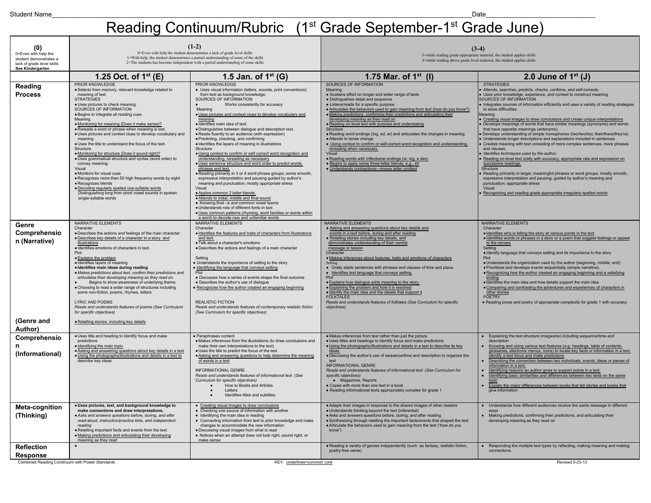#### Reading Continuum/Rubric (1<sup>st</sup> Grade September-1<sup>st</sup> Grade June)

| (0)<br>0=Even with help the<br>student demonstrates a<br>lack of grade level skills<br>See Kindergarten | $(1-2)$<br>0=Even with help the student demonstrates a lack of grade level skills<br>1=With help, the student demonstrates a partial understanding of some of the skills<br>2=The students has become independent with a partial understanding of some skills                                                                                                                                                                                                                                                                                                                                                                                                                                                                                                                                                                                                                                |                                                                                                                                                                                                                                                                                                                                                                                                                                                                                                                                                                                                                                                                                                                                                                                                                                                                                                                                                                                                                                                                                                                                                                                                                                          | $(3-4)$<br>3=while reading grade-appropriate material, the student applies skills<br>4=while reading above grade level material, the student applies skills                                                                                                                                                                                                                                                                                                                                                                                                                                                                                                                                                                                                                                                                                                         |                                                                                                                                                                                                                                                                                                                                                                                                                                                                                                                                                                                                                                                                                                                                                                                                                                                                                                                                                                                                                                                                                                                                                                                                                                                         |  |
|---------------------------------------------------------------------------------------------------------|----------------------------------------------------------------------------------------------------------------------------------------------------------------------------------------------------------------------------------------------------------------------------------------------------------------------------------------------------------------------------------------------------------------------------------------------------------------------------------------------------------------------------------------------------------------------------------------------------------------------------------------------------------------------------------------------------------------------------------------------------------------------------------------------------------------------------------------------------------------------------------------------|------------------------------------------------------------------------------------------------------------------------------------------------------------------------------------------------------------------------------------------------------------------------------------------------------------------------------------------------------------------------------------------------------------------------------------------------------------------------------------------------------------------------------------------------------------------------------------------------------------------------------------------------------------------------------------------------------------------------------------------------------------------------------------------------------------------------------------------------------------------------------------------------------------------------------------------------------------------------------------------------------------------------------------------------------------------------------------------------------------------------------------------------------------------------------------------------------------------------------------------|---------------------------------------------------------------------------------------------------------------------------------------------------------------------------------------------------------------------------------------------------------------------------------------------------------------------------------------------------------------------------------------------------------------------------------------------------------------------------------------------------------------------------------------------------------------------------------------------------------------------------------------------------------------------------------------------------------------------------------------------------------------------------------------------------------------------------------------------------------------------|---------------------------------------------------------------------------------------------------------------------------------------------------------------------------------------------------------------------------------------------------------------------------------------------------------------------------------------------------------------------------------------------------------------------------------------------------------------------------------------------------------------------------------------------------------------------------------------------------------------------------------------------------------------------------------------------------------------------------------------------------------------------------------------------------------------------------------------------------------------------------------------------------------------------------------------------------------------------------------------------------------------------------------------------------------------------------------------------------------------------------------------------------------------------------------------------------------------------------------------------------------|--|
|                                                                                                         | 1.25 Oct. of $1^{st}$ (E)                                                                                                                                                                                                                                                                                                                                                                                                                                                                                                                                                                                                                                                                                                                                                                                                                                                                    | 1.5 Jan. of $1^{st}$ (G)                                                                                                                                                                                                                                                                                                                                                                                                                                                                                                                                                                                                                                                                                                                                                                                                                                                                                                                                                                                                                                                                                                                                                                                                                 | 1.75 Mar. of $1^{st}$ (I)                                                                                                                                                                                                                                                                                                                                                                                                                                                                                                                                                                                                                                                                                                                                                                                                                                           | 2.0 June of $1st$ (J)                                                                                                                                                                                                                                                                                                                                                                                                                                                                                                                                                                                                                                                                                                                                                                                                                                                                                                                                                                                                                                                                                                                                                                                                                                   |  |
| Reading<br><b>Process</b>                                                                               | PRIOR KNOWLEDGE<br>· Selects from memory, relevant knowledge related to<br>meaning of text.<br><b>STRATEGIES</b><br>· Uses pictures to check meaning<br>SOURCES OF INFORMATION<br>· Begins to integrate all reading cues<br>Meaning<br>. Monitoring for meaning (Does it make sense)?<br>· Rereads a word or phrase when meaning is lost.<br>· Uses pictures and context clues to develop vocabulary and<br>meaning<br>. Uses the title to understand the focus of the text.<br>Structure<br>• Monitoring for structure (Does it sound right)?<br>· Uses grammatical structure and syntax (word order) to<br>convey meaning.<br>Visual<br>· Monitors for visual cues<br>· Recognizes more than 50 high frequency words by sight.<br>· Recognizes blends<br>· Decoding regularly spelled one-syllable words<br>Distinguishing long from short vowel sounds in spoken<br>single-syllable words | PRIOR KNOWLEDGE<br>• Uses visual information (letters, sounds, print conventions)<br>from text as background knowledge.<br>SOURCES OF INFORMATION<br>Works consistently for accuracy<br>Meaning<br>. Uses pictures and context clues to develop vocabulary and<br>meaning<br>· Identifies main idea of text.<br>· Distinguishes between dialogue and description text.<br>• Reads fluently to an audience (with expression)<br>· Predicting, checking, and confirming<br>· Identifies the layers of meaning in illustrations<br>Structure<br>· Using context to confirm or self-correct word recognition and<br>understanding, rereading as necessary<br>· Uses sentence structure and word order to predict words,<br>phrases and text.<br>. Reading primarily in 3 or 4 word phrase groups; some smooth,<br>expressive interpretation and pausing guided by author's<br>meaning and punctuation; mostly appropriate stress<br>Visual<br>· Apples common 2 letter blends.<br>· Attends to initial, middle and final sound<br>• Knowing final -e and common vowel teams<br>· Understands role of different fonts in text<br>· Uses common patterns (rhyming, word families or words within<br>a word) to decode new and unfamiliar words | SOURCES OF INFORMATION<br>Meaning<br>• Sustains effort on longer and wider range of texts<br>· Distinguishes detail and sequence<br>• Listens/reads for a specific purpose<br>• Articulates the behaviors used to gain meaning from text (how do you know?)<br>· Making predictions, confirming their predictions and articulating their<br>developing meaning as they read on<br>. Reading on-level text with purpose and understating<br>Structure<br>· Reading word endings (ing, ed, er) and articulates the changes in meaning<br>· Attends to tense change<br>. Using context to confirm or self-correct word recognition and understanding,<br>rereading when necessary.<br>Visual<br>· Reading words with inflectional endings (ie: ing, e des)<br>· Begins to apply some three-letter blends, e.g., str<br>· Understands contractions-knows letter omitted | <b>STRATEGIES</b><br>Attends, searches, predicts, checks, confirms, and self-corrects.<br>Uses prior knowledge, experience, and context to construct meaning.<br>SOURCES OF INFORMATION<br>. Integrates sources of information efficiently and uses a variety of reading strategies<br>to solve difficulties.<br>Meaning<br>Creating visual images to draw conclusions and create unique interpretations<br>Develops meanings of words that have similar meanings (synonyms) and words<br>that have opposite meanings (antonyms).<br>Develops understanding of simple homophones (two/two/too; their/there/they're)<br>Understands longer descriptions and explanations included in sentences<br>Creates meaning with text consisting of more complex sentences, more phrases<br>and clauses.<br>Identifies techniques used by the author.<br>Reading on-level text orally with accuracy, appropriate rate and expression on<br>successive readings.<br><b>Structure</b><br>Reading primarily in larger, meaningful phrases or word groups; mostly smooth,<br>expressive interpretation and pausing, guided by author's meaning and<br>punctuation; appropriate stress<br>Visual<br>Recognizing and reading grade appropriate irregularly spelled words |  |
| Genre<br>Comprehensio<br>n (Narrative)<br>(Genre and                                                    | NARRATIVE ELEMENTS<br>Character<br>· Describes the actions and feelings of the main character<br>· Describes key details of a character in a story and<br>illustrations<br>· Identifies emotions of characters in text.<br>Plot<br>· Explains the problem<br>· Identifies layers of meaning<br>· Identifies main ideas during reading<br>• Makes predictions about text, confirm their predictions and<br>articulates their developing meaning as they read on.<br>Begins to show awareness of underlying theme.<br>. Choosing to read a wider range of structures including<br>some non-fiction, poems, rhymes, letters<br><b>LYRIC AND POEMS</b><br>Reads and understands features of poems (See Curriculum<br>for specific objectives)<br>· Retelling stories, including key details                                                                                                      | NARRATIVE ELEMENTS<br>Character<br>· Identifies the features and traits of characters from illustrations<br>and text.<br>· Talk about a character's emotions<br>· Describes the actions and feelings of a main character<br>Setting<br>· Understands the importance of setting to the story<br>Identifying the language that conveys setting<br>· Discusses how a series of events shape the final outcome<br>· Describes the author's use of dialogue<br>Recognizes how the author created an engaging beginning<br><b>REALISTIC FICTION</b><br>Reads and understands features of contemporary realistic fiction<br>(See Curriculum for specific objectives)                                                                                                                                                                                                                                                                                                                                                                                                                                                                                                                                                                            | NARRATIVE ELEMENTS<br>. Asking and answering questions about key details and<br>events in a text before, during and after reading<br>· Retelling stories including key details, and<br>demonstrates understanding of their central<br>message or lesson<br>Character<br>· Making inferences about features, traits and emotions of characters<br>Setting<br>• Orally starts sentences with phrases and clauses of time and place.<br>• Identifies text language that conveys setting.<br>P <sub>10</sub><br>· Explains how dialogue adds meaning to the story.<br>. Explaining the problem and how it is resolved<br>· Identify the main idea and the details that support it<br><b>FOLKTALES</b><br>Reads and understands features of folktales (See Curriculum for specific<br>objectives)                                                                        | NARRATIVE ELEMENTS<br>Character<br>· Identifies who is telling the story at various points in the text<br>· Identifies words or phrases in a story or a poem that suggest feelings or appeal<br>to the senses<br>Setting<br>· Identify language that conveys setting and its importance to the story<br>Plot<br>. Understands the organization used by the author (beginning, middle, end)<br>· Prioritizes and develops events sequentially (simple narrative).<br>. Recognizing how the author created an engaging beginning and a satisfying<br>ending<br>· Identifies the main idea and how details support the main idea<br>. Comparing and contrasting the adventures and experiences of characters in<br>other stories<br><b>POETRY</b><br>• Reading prose and poetry of appropriate complexity for grade 1 with accuracy                                                                                                                                                                                                                                                                                                                                                                                                                        |  |
| Author)                                                                                                 | . Uses title and heading to identify focus and make                                                                                                                                                                                                                                                                                                                                                                                                                                                                                                                                                                                                                                                                                                                                                                                                                                          | · Paraphrases content                                                                                                                                                                                                                                                                                                                                                                                                                                                                                                                                                                                                                                                                                                                                                                                                                                                                                                                                                                                                                                                                                                                                                                                                                    |                                                                                                                                                                                                                                                                                                                                                                                                                                                                                                                                                                                                                                                                                                                                                                                                                                                                     |                                                                                                                                                                                                                                                                                                                                                                                                                                                                                                                                                                                                                                                                                                                                                                                                                                                                                                                                                                                                                                                                                                                                                                                                                                                         |  |
| Comprehensio<br>(Informational)                                                                         | predictions<br>· Identifying the main topic<br>· Asking and answering questions about key details in a text<br>. Using the photographs/illustrations and details in a text to<br>describe key ideas                                                                                                                                                                                                                                                                                                                                                                                                                                                                                                                                                                                                                                                                                          | · Makes inferences from the illustrations (to draw conclusions and<br>make their own interpretations to the text)<br>. Uses the title to predict the focus of the text<br>• Asking and answering questions to help determine the meaning<br>of words in a text<br>INFORMATIONAL GENRE<br>Reads and understands features of informational text (See<br>Curriculum for specific objectives)<br>How to Books and Articles<br>Letters<br>Identifies titles and subtitles.                                                                                                                                                                                                                                                                                                                                                                                                                                                                                                                                                                                                                                                                                                                                                                    | · Makes inferences from text rather than just the picture<br>. Uses titles and headings to identify focus and make predictions<br>. Using the photographs/illustrations and details in a text to describe its key<br>ideas.<br>. Discussing the author's use of sequence/time and description to organize the<br>text<br><b>INFORMATIONAL GENRE</b><br>Reads and understands features of informational text (See Curriculum for<br>specific objectives)<br>• Magazines, Reports<br>• Copes with more than one text in a book<br>• Reading informational texts appropriately complex for grade 1                                                                                                                                                                                                                                                                     | • Explaining the text structure (magazine) including sequence/time and<br>description<br>Knowing and using various text features (e.g. headings, table of contents,<br>glossaries, electronic menus, icons) to locate key facts or information in a text,<br>identify a text focus and make predictions<br>Describing the connection between two individuals, events, ideas or pieces of<br>information in a text.<br>Identifying reasons an author gives to support points in a text.<br>Identifying basic similarities and differences between two texts on the same<br>$\blacksquare$<br>Explain the major differences between books that tell stories and books that<br>give information                                                                                                                                                                                                                                                                                                                                                                                                                                                                                                                                                            |  |
| Meta-cognition<br>(Thinking)                                                                            | · Uses pictures, text, and background knowledge to<br>make connections and draw interpretations.<br>• Asks and answers questions before, during, and after<br>read-aloud, instruction/practice time, and independent<br>reading<br>· Retelling important facts and events from the text<br>· Making predictions and articulating their developing<br>meaning as they read                                                                                                                                                                                                                                                                                                                                                                                                                                                                                                                    | • Creating visual images to draw conclusions<br>• Checking one source of information with another<br>· Identifying the main idea in reading<br>• Connecting information from text to prior knowledge and make<br>changes to accommodate the new information<br>· Discussing visual images from what is read<br>. Notices when an attempt does not look right, sound right, or<br>make sense                                                                                                                                                                                                                                                                                                                                                                                                                                                                                                                                                                                                                                                                                                                                                                                                                                              | • Adapts their images in response to the shared images of other readers<br>. Understands thinking beyond the text (inferential)<br>• Asks and answers questions before, during, and after reading<br>. Synthesizing through retelling the important facts/events that shaped the text<br>. Articulate the behaviors used to gain meaning from the text ("how do you<br>know")                                                                                                                                                                                                                                                                                                                                                                                                                                                                                       | Understands how different audiences receive the same message in different<br>ways<br>Making predictions, confirming their predictions, and articulating their<br>developing meaning as they read on                                                                                                                                                                                                                                                                                                                                                                                                                                                                                                                                                                                                                                                                                                                                                                                                                                                                                                                                                                                                                                                     |  |
| <b>Reflection</b><br><b>Response</b>                                                                    |                                                                                                                                                                                                                                                                                                                                                                                                                                                                                                                                                                                                                                                                                                                                                                                                                                                                                              |                                                                                                                                                                                                                                                                                                                                                                                                                                                                                                                                                                                                                                                                                                                                                                                                                                                                                                                                                                                                                                                                                                                                                                                                                                          | · Reading a variety of genres independently (such as fantasy, realistic fiction,<br>poetry-free verse)                                                                                                                                                                                                                                                                                                                                                                                                                                                                                                                                                                                                                                                                                                                                                              | Responding the multiple text types by reflecting, making meaning and making<br>connections.                                                                                                                                                                                                                                                                                                                                                                                                                                                                                                                                                                                                                                                                                                                                                                                                                                                                                                                                                                                                                                                                                                                                                             |  |
| Combined Reading Continuum with Power Standards                                                         |                                                                                                                                                                                                                                                                                                                                                                                                                                                                                                                                                                                                                                                                                                                                                                                                                                                                                              | KEY: underlines=common core                                                                                                                                                                                                                                                                                                                                                                                                                                                                                                                                                                                                                                                                                                                                                                                                                                                                                                                                                                                                                                                                                                                                                                                                              |                                                                                                                                                                                                                                                                                                                                                                                                                                                                                                                                                                                                                                                                                                                                                                                                                                                                     | Revised 5-23-13                                                                                                                                                                                                                                                                                                                                                                                                                                                                                                                                                                                                                                                                                                                                                                                                                                                                                                                                                                                                                                                                                                                                                                                                                                         |  |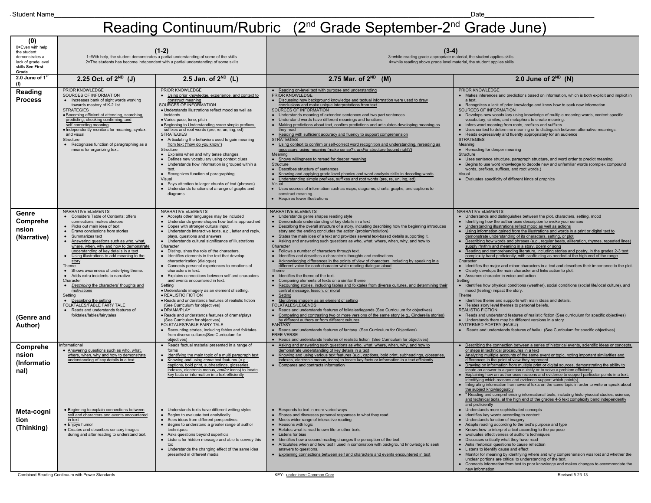#### Student Name\_\_\_\_\_\_\_\_\_\_\_\_\_\_\_\_\_\_\_\_\_\_\_\_\_\_\_\_\_\_\_\_\_\_\_\_\_\_\_\_\_\_\_\_\_\_\_\_\_\_\_\_\_\_\_\_\_\_\_\_\_\_\_\_\_\_\_\_\_\_\_\_\_\_\_\_\_\_\_\_\_\_\_\_\_\_\_\_\_\_\_\_\_\_\_\_\_\_\_\_\_\_\_\_\_\_\_\_\_\_\_\_\_\_Date\_\_\_\_\_\_\_\_\_\_\_\_\_\_\_\_\_\_\_\_\_\_\_\_\_\_\_\_\_\_ Reading Continuum/Rubric (2<sup>nd</sup> Grade September-2<sup>nd</sup> Grade June)

| (0)<br>0=Even with help<br>the student<br>demonstrates a<br>lack of grade level<br>skills See First<br>Grade | $(1-2)$<br>1=With help, the student demonstrates a partial understanding of some of the skills<br>2=The students has become independent with a partial understanding of some skills                                                                                                                                                                                                                                                                                                                                                                                                                                                                                                                            |                                                                                                                                                                                                                                                                                                                                                                                                                                                                                                                                                                                                                                                                                                                                                                                                                                                                                                                                                                                                                                                                       | $(3-4)$<br>3=while reading grade-appropriate material, the student applies skills<br>4=while reading above grade level material, the student applies skills                                                                                                                                                                                                                                                                                                                                                                                                                                                                                                                                                                                                                                                                                                                                                                                                                                                                                                                                                                                                                                                                                                                                                                                                                                                                                                                                                                                                                |                                                                                                                                                                                                                                                                                                                                                                                                                                                                                                                                                                                                                                                                                                                                                                                                                                                                                                                                                                                                                                                                                                                                                                                                                                                                                                                                                                                                                                                                                                                                                                                   |  |
|--------------------------------------------------------------------------------------------------------------|----------------------------------------------------------------------------------------------------------------------------------------------------------------------------------------------------------------------------------------------------------------------------------------------------------------------------------------------------------------------------------------------------------------------------------------------------------------------------------------------------------------------------------------------------------------------------------------------------------------------------------------------------------------------------------------------------------------|-----------------------------------------------------------------------------------------------------------------------------------------------------------------------------------------------------------------------------------------------------------------------------------------------------------------------------------------------------------------------------------------------------------------------------------------------------------------------------------------------------------------------------------------------------------------------------------------------------------------------------------------------------------------------------------------------------------------------------------------------------------------------------------------------------------------------------------------------------------------------------------------------------------------------------------------------------------------------------------------------------------------------------------------------------------------------|----------------------------------------------------------------------------------------------------------------------------------------------------------------------------------------------------------------------------------------------------------------------------------------------------------------------------------------------------------------------------------------------------------------------------------------------------------------------------------------------------------------------------------------------------------------------------------------------------------------------------------------------------------------------------------------------------------------------------------------------------------------------------------------------------------------------------------------------------------------------------------------------------------------------------------------------------------------------------------------------------------------------------------------------------------------------------------------------------------------------------------------------------------------------------------------------------------------------------------------------------------------------------------------------------------------------------------------------------------------------------------------------------------------------------------------------------------------------------------------------------------------------------------------------------------------------------|-----------------------------------------------------------------------------------------------------------------------------------------------------------------------------------------------------------------------------------------------------------------------------------------------------------------------------------------------------------------------------------------------------------------------------------------------------------------------------------------------------------------------------------------------------------------------------------------------------------------------------------------------------------------------------------------------------------------------------------------------------------------------------------------------------------------------------------------------------------------------------------------------------------------------------------------------------------------------------------------------------------------------------------------------------------------------------------------------------------------------------------------------------------------------------------------------------------------------------------------------------------------------------------------------------------------------------------------------------------------------------------------------------------------------------------------------------------------------------------------------------------------------------------------------------------------------------------|--|
| 2.0 June of 1 <sup>st</sup><br>(1)                                                                           | 2.25 Oct. of $2^{ND}$ (J)                                                                                                                                                                                                                                                                                                                                                                                                                                                                                                                                                                                                                                                                                      | 2.5 Jan. of $2^{ND}$ (L)                                                                                                                                                                                                                                                                                                                                                                                                                                                                                                                                                                                                                                                                                                                                                                                                                                                                                                                                                                                                                                              | 2.75 Mar. of $2^{ND}$ (M)                                                                                                                                                                                                                                                                                                                                                                                                                                                                                                                                                                                                                                                                                                                                                                                                                                                                                                                                                                                                                                                                                                                                                                                                                                                                                                                                                                                                                                                                                                                                                  | 2.0 June of $2^{ND}$ (N)                                                                                                                                                                                                                                                                                                                                                                                                                                                                                                                                                                                                                                                                                                                                                                                                                                                                                                                                                                                                                                                                                                                                                                                                                                                                                                                                                                                                                                                                                                                                                          |  |
| Reading<br><b>Process</b>                                                                                    | PRIOR KNOWLEDGE<br>SOURCES OF INFORMATION<br>• Increases bank of sight words working<br>towards mastery of K-2 list.<br><b>STRATEGIES</b><br>· Becoming efficient at attending, searching,<br>predicting, checking confirming, and<br>self-correcting meaning<br>· Independently monitors for meaning, syntax,<br>and visual<br>Structure<br>• Recognizes function of paragraphing as a<br>means for organizing text.                                                                                                                                                                                                                                                                                          | PRIOR KNOWLEDGE<br>• Using prior knowledge, experience, and context to<br>construct meaning<br>SOURCES OF INFORMATION<br>· Understands illustrations reflect mood as well as<br>incidents<br>· Varies pace, tone, pitch<br>· Beginning to Understanding some simple prefixes,<br>suffixes and root words (pre, re, un, ing, ed)<br><b>STRATEGIES</b><br>• Articulating the behaviors used to gain meaning<br>from text ("how do you know")<br>Structure<br>• Explains when and why tense changes.<br>• Defines new vocabulary using context clues<br>• Understands how information is grouped within a<br>text.<br>• Recognizes function of paragraphing.<br>Visual<br>• Pays attention to larger chunks of text (phrases).<br>Understands functions of a range of graphs and<br>$\bullet$<br>diagrams                                                                                                                                                                                                                                                                | • Reading on-level text with purpose and understanding<br>PRIOR KNOWLEDGE<br>Discussing how background knowledge and textual information were used to draw<br>conclusions and make unique interpretations from text<br>SOURCES OF INFORMATION<br>• Understands meaning of extended sentences and two part sentences.<br>• Understand words have different meanings and functions<br>Making predictions about text, confirm predictions and articulates developing meaning as<br>they read<br>Reading with sufficient accuracy and fluency to support comprehension<br><b>STRATEGIES</b><br>Using context to confirm or self-correct word recognition and understanding, rereading as<br>necessary, using meaning (make sense?), and/or structure (sound right?)<br>Meaning<br>• Shows willingness to reread for deeper meaning<br>Structure<br>• Describes structure of sentences<br>Knowing and applying grade level phonics and word analysis skills in decoding words<br>Understanding simple prefixes, suffixes and root words (pre, re, un, ing, ed)<br>Visual<br>• Uses sources of information such as maps, diagrams, charts, graphs, and captions to<br>construct meaning.<br>Requires fewer illustrations                                                                                                                                                                                                                                                                                                                                                         | PRIOR KNOWLEDGE<br>• Makes inferences and predictions based on information, which is both explicit and implicit in<br>a text.<br>• Recognizes a lack of prior knowledge and know how to seek new information<br>SOURCES OF INFORMATION<br>• Develops new vocabulary using knowledge of multiple meaning words, content specific<br>vocabulary, similes, and metaphors to create meaning.<br>• Infers word meaning from roots, prefixes and suffixes<br>• Uses context to determine meaning or to distinguish between alternative meanings.<br>• Reads expressively and fluently appropriately for an audience<br><b>STRATEGIES</b><br>Meaning<br>• Rereading for deeper meaning<br>Structure<br>• Uses sentence structure, paragraph structure, and word order to predict meaning.<br>• Begins to use word knowledge to decode new and unfamiliar words (complex compound<br>words, prefixes, suffixes, and root words.)<br>Visual<br>• Evaluates specificity of different kinds of graphics                                                                                                                                                                                                                                                                                                                                                                                                                                                                                                                                                                                      |  |
| Genre<br>Comprehe<br>nsion<br>(Narrative)<br>(Genre and<br>Author)                                           | NARRATIVE ELEMENTS<br>• Considers Table of Contents: offers<br>connections, makes choices<br>• Picks out main idea of text<br>• Draws conclusions from stories<br>• Summarizes text<br>Answering questions such as who, what,<br>where, when, why and how to demonstrate<br>understanding of key details in a text<br>Using illustrations to add meaning to the<br>$\bullet$<br>story<br>Theme<br>• Shows awareness of underlying theme.<br>• Adds extra incidents to narrative<br>Character<br>Describing the characters' thoughts and<br>$\bullet$<br>motivations<br>Setting<br>• Describing the setting<br>FOLKTALES/FABLE FAIRY TALE<br>• Reads and understands features of<br>folktales/fables/fairytales | NARRATIVE ELEMENTS<br>• Accepts other languages may be included<br>• Understands genre shapes how text is approached<br>• Copes with stronger cultural input<br>• Understands interactive texts, e.g., letter and reply,<br>plays, questions and answers<br>• Understands cultural significance of illustrations<br>Character<br>• Distinguishes the role of the characters.<br>• Identifies elements in the text that develop<br>characterization (dialogue)<br>• Connects personal experiences to emotions of<br>characters in text.<br>Explains connections between self and characters<br>and events encountered in text.<br>Setting<br>· Understands imagery as an element of setting.<br>· REALISTIC FICTION<br>· Reads and understands features of realistic fiction<br>(See Curriculum for objectives)<br>· DRAMA/PLAY<br>· Reads and understands features of drama/plays<br>(See Curriculum for objectives)<br>FOLKTALES/FABLE FAIRY TALE<br>• Recounting stories, including fables and folktales<br>from diverse cultures(See Curriculum for<br>objectives) | NARRATIVE ELEMENTS<br>• Understands genre shapes reading style<br>• Demonstrate understanding of key details in a text<br>• Describing the overall structure of a story, including describing how the beginning introduces<br>story and the ending concludes the action (problem/solution)<br>• States the main idea of a text and provides several text-based details supporting it.<br>• Asking and answering such questions as who, what, where, when, why, and how to<br>Character<br>• Follows a number of characters through text.<br>• Identifies and describes a character's thoughts and motivations<br>Acknowledging differences in the points of view of characters, including by speaking in a<br>different voice for each character while reading dialogue aloud<br><b>Theme</b><br>• Identifies the theme of the text.<br>Comparing elements of texts on a similar theme<br>Recounting stories, including fables and folktales from diverse cultures, and determining their<br>central message, lesson, or moral<br>Setting<br>• Identifying imagery as an element of setting<br>FOLKTALES/LEGENDS<br>• Reads and understands features of folktales/legends (See Curriculum for objectives)<br>Comparing and contrasting two or more versions of the same story (e.g., Cinderella stories)<br>by different authors or from different cultures<br><b>FANTASY</b><br>• Reads and understands features of fantasy (See Curriculum for Objectives)<br><b>FREE VERSE</b><br>• Reads and understands features of realistic fiction (See Curriculum for objectives) | NARRATIVE ELEMENTS<br>• Understands and distinguishes between the plot, characters, setting, mood<br>• Identifying how the author uses description to evoke your senses<br>• Understanding illustrations reflect mood as well as actions<br>Using information gained from the illustrations and words in a print or digital text to<br>demonstrate understanding of its characters, setting, or plot<br>• Describing how words and phrases (e.g., regular beats, alliteration, rhymes, repeated lines)<br>supply rhythm and meaning in a story, poem or song<br>Reading and comprehending literature, including stories and poetry, in the grades 2-3 text<br>complexity band proficiently, with scaffolding as needed at the high end of the range<br>Character<br>• Identifies the major and minor characters in a text and describes their importance to the plot.<br>• Clearly develops the main character and links action to plot.<br>• Assumes character in voice and action<br>Setting<br>• Identifies how physical conditions (weather), social conditions (social life/local culture), and<br>mood (feeling) impact the story.<br>Theme<br>• Identifies theme and supports with main ideas and details.<br>• Relates story level themes to personal beliefs.<br><b>REALISTIC FICTION</b><br>• Reads and understand features of realistic fiction (See curriculum for specific objectives)<br>• Understands there may be different versions in a story<br>PATTERNED POETRY (HAIKU)<br>• Reads and understands features of haiku (See Curriculum for specific objectives) |  |
| Comprehe<br>nsion<br>(Informatio<br>nal)                                                                     | nformational<br>• Answering questions such as who, what,<br>where, when, why and how to demonstrate<br>understanding of key details in a text                                                                                                                                                                                                                                                                                                                                                                                                                                                                                                                                                                  | • Reads factual material presented in a range of<br>forms<br>Identifying the main topic of a multi paragraph text<br>$\bullet$<br>Knowing and using some text features (e.g.;<br>$\bullet$<br>captions, bold print, subheadings, glossaries<br>indexes, electronic menus, and/or icons) to locate<br>key facts or information in a text efficiently                                                                                                                                                                                                                                                                                                                                                                                                                                                                                                                                                                                                                                                                                                                   | Asking and answering such questions as who, what, where, when, why, and how to<br>demonstrate understanding of key details in a text<br>Knowing and using various text features (e.g., captions, bold print, subheadings, glossaries,<br>indexes, electronic menus, icons) to locate key facts or information in a text efficiently<br>• Compares and contracts information                                                                                                                                                                                                                                                                                                                                                                                                                                                                                                                                                                                                                                                                                                                                                                                                                                                                                                                                                                                                                                                                                                                                                                                                | Describing the connection between a series of historical events, scientific ideas or concepts,<br>$\bullet$<br>or steps in technical procedures in a text<br>• Analyzing multiple accounts of the same event or topic, noting important similarities and<br>differences in the point of view they represent<br>• Drawing on information from multiple print or digital sources, demonstrating the ability to<br>locate an answer to a question quickly or to solve a problem efficiently<br>• Explaining how an author uses reasons and evidence to support particular points in a text,<br>identifying which reasons and evidence support which point(s)<br>• Integrating information from several texts on the same topic in order to write or speak about<br>the subject knowledgeably<br>* Reading and comprehending informational texts, including history/social studies, science,<br>and technical texts, at the high end of the grades 4-5 text complexity band independently<br>and proficiently                                                                                                                                                                                                                                                                                                                                                                                                                                                                                                                                                                         |  |
| Meta-cogni<br>tion<br>(Thinking)                                                                             | • Beginning to explain connections between<br>self and characters and events encountered<br>in text<br>· Enjoys humor<br>• Creates and describes sensory images<br>during and after reading to understand text.<br>Combined Reading Continuum with Power Standards                                                                                                                                                                                                                                                                                                                                                                                                                                             | • Understands texts have different writing styles<br>• Begins to evaluate text analytically<br>• Sees ideas from different perspectives<br>• Begins to understand a greater range of author<br>techniques<br>• Asks questions beyond superficial<br>• Listens for hidden message and able to convey this<br>too<br>• Understands the changing effect of the same idea<br>presented in different media                                                                                                                                                                                                                                                                                                                                                                                                                                                                                                                                                                                                                                                                 | • Responds to text in more varied ways<br>• Shares and discusses personal responses to what they read<br>• Meets wider range of interactive reading<br>• Reasons with logic<br>• Relates what is read to own life or other texts<br>• Listens for bias<br>• Identifies how a second reading changes the perception of the text.<br>• Articulates when and how text I used in combination with background knowledge to seek<br>answers to questions.<br>• Explaining connections between self and characters and events encountered in text<br>KEY: underlines=Common Core                                                                                                                                                                                                                                                                                                                                                                                                                                                                                                                                                                                                                                                                                                                                                                                                                                                                                                                                                                                                  | • Understands more sophisticated concepts<br>• Identifies key words according to content<br>• Understands function of imagery<br>• Adapts reading according to the text's purpose and type<br>• Knows how to interpret a text according to the purpose<br>• Evaluates effectiveness of author's techniques<br>• Discusses critically what they have read<br>• Asks rhetorical questions to cause reflection<br>• Listens to identify cause and effect<br>• Monitor for meaning by identifying where and why comprehension was lost and whether the<br>unclear portions are critical to understanding of the text.<br>• Connects information from text to prior knowledge and makes changes to accommodate the<br>new information<br>Revised 5-23-13                                                                                                                                                                                                                                                                                                                                                                                                                                                                                                                                                                                                                                                                                                                                                                                                                               |  |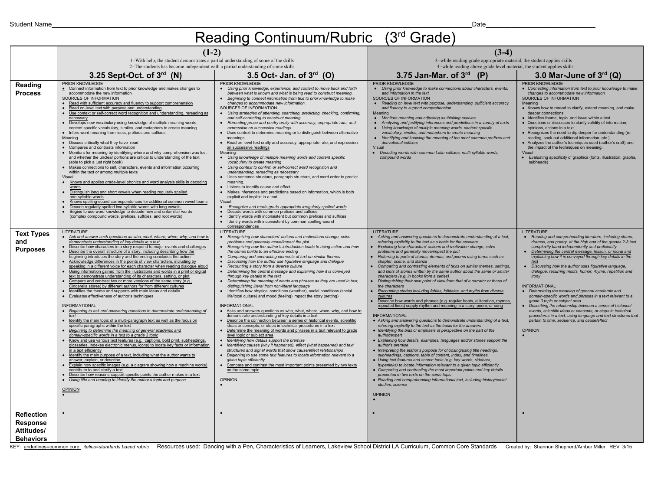#### Reading Continuum/Rubric (3<sup>rd</sup> Grade)

|                                                                        | $(1-2)$                                                                                                                                                                                                                                                                                                                                                                                                                                                                                                                                                                                                                                                                                                                                                                                                                                                                                                                                                                                                                                                                                                                                                                                                                                                                                                                                                                                                                                                                                                                                                                                                                                                                                                                                                                                                                                                                                                                    |                                                                                                                                                                                                                                                                                                                                                                                                                                                                                                                                                                                                                                                                                                                                                                                                                                                                                                                                                                                                                                                                                                                                                                                                                                                                                                                                                                                                                                                                                                                                                                                                                                                                                           | $(3-4)$                                                                                                                                                                                                                                                                                                                                                                                                                                                                                                                                                                                                                                                                                                                                                                                                                                                                                                                                                                                                                                                                                                                                                                                                                                                                                                                                                                                                                                                                                                                                                                                                                                                                                                                                                                                                                           |                                                                                                                                                                                                                                                                                                                                                                                                                                                                                                                                                                                                                                                                                                                                                                                                                                                                                                   |
|------------------------------------------------------------------------|----------------------------------------------------------------------------------------------------------------------------------------------------------------------------------------------------------------------------------------------------------------------------------------------------------------------------------------------------------------------------------------------------------------------------------------------------------------------------------------------------------------------------------------------------------------------------------------------------------------------------------------------------------------------------------------------------------------------------------------------------------------------------------------------------------------------------------------------------------------------------------------------------------------------------------------------------------------------------------------------------------------------------------------------------------------------------------------------------------------------------------------------------------------------------------------------------------------------------------------------------------------------------------------------------------------------------------------------------------------------------------------------------------------------------------------------------------------------------------------------------------------------------------------------------------------------------------------------------------------------------------------------------------------------------------------------------------------------------------------------------------------------------------------------------------------------------------------------------------------------------------------------------------------------------|-------------------------------------------------------------------------------------------------------------------------------------------------------------------------------------------------------------------------------------------------------------------------------------------------------------------------------------------------------------------------------------------------------------------------------------------------------------------------------------------------------------------------------------------------------------------------------------------------------------------------------------------------------------------------------------------------------------------------------------------------------------------------------------------------------------------------------------------------------------------------------------------------------------------------------------------------------------------------------------------------------------------------------------------------------------------------------------------------------------------------------------------------------------------------------------------------------------------------------------------------------------------------------------------------------------------------------------------------------------------------------------------------------------------------------------------------------------------------------------------------------------------------------------------------------------------------------------------------------------------------------------------------------------------------------------------|-----------------------------------------------------------------------------------------------------------------------------------------------------------------------------------------------------------------------------------------------------------------------------------------------------------------------------------------------------------------------------------------------------------------------------------------------------------------------------------------------------------------------------------------------------------------------------------------------------------------------------------------------------------------------------------------------------------------------------------------------------------------------------------------------------------------------------------------------------------------------------------------------------------------------------------------------------------------------------------------------------------------------------------------------------------------------------------------------------------------------------------------------------------------------------------------------------------------------------------------------------------------------------------------------------------------------------------------------------------------------------------------------------------------------------------------------------------------------------------------------------------------------------------------------------------------------------------------------------------------------------------------------------------------------------------------------------------------------------------------------------------------------------------------------------------------------------------|---------------------------------------------------------------------------------------------------------------------------------------------------------------------------------------------------------------------------------------------------------------------------------------------------------------------------------------------------------------------------------------------------------------------------------------------------------------------------------------------------------------------------------------------------------------------------------------------------------------------------------------------------------------------------------------------------------------------------------------------------------------------------------------------------------------------------------------------------------------------------------------------------|
|                                                                        | 1=With help, the student demonstrates a partial understanding of some of the skills<br>2=The students has become independent with a partial understanding of some skills                                                                                                                                                                                                                                                                                                                                                                                                                                                                                                                                                                                                                                                                                                                                                                                                                                                                                                                                                                                                                                                                                                                                                                                                                                                                                                                                                                                                                                                                                                                                                                                                                                                                                                                                                   |                                                                                                                                                                                                                                                                                                                                                                                                                                                                                                                                                                                                                                                                                                                                                                                                                                                                                                                                                                                                                                                                                                                                                                                                                                                                                                                                                                                                                                                                                                                                                                                                                                                                                           | 3=while reading grade-appropriate material, the student applies skills<br>4=while reading above grade level material, the student applies skills                                                                                                                                                                                                                                                                                                                                                                                                                                                                                                                                                                                                                                                                                                                                                                                                                                                                                                                                                                                                                                                                                                                                                                                                                                                                                                                                                                                                                                                                                                                                                                                                                                                                                  |                                                                                                                                                                                                                                                                                                                                                                                                                                                                                                                                                                                                                                                                                                                                                                                                                                                                                                   |
|                                                                        | 3.25 Sept-Oct. of 3rd (N)                                                                                                                                                                                                                                                                                                                                                                                                                                                                                                                                                                                                                                                                                                                                                                                                                                                                                                                                                                                                                                                                                                                                                                                                                                                                                                                                                                                                                                                                                                                                                                                                                                                                                                                                                                                                                                                                                                  | 3.5 Oct- Jan. of 3rd (O)                                                                                                                                                                                                                                                                                                                                                                                                                                                                                                                                                                                                                                                                                                                                                                                                                                                                                                                                                                                                                                                                                                                                                                                                                                                                                                                                                                                                                                                                                                                                                                                                                                                                  | 3.75 Jan-Mar. of 3rd<br>(P)                                                                                                                                                                                                                                                                                                                                                                                                                                                                                                                                                                                                                                                                                                                                                                                                                                                                                                                                                                                                                                                                                                                                                                                                                                                                                                                                                                                                                                                                                                                                                                                                                                                                                                                                                                                                       | 3.0 Mar-June of 3rd (Q)                                                                                                                                                                                                                                                                                                                                                                                                                                                                                                                                                                                                                                                                                                                                                                                                                                                                           |
| Reading<br><b>Process</b>                                              | <b>PRIOR KNOWLEDGE</b><br>• Connect information from text to prior knowledge and makes changes to<br>accommodate the new information<br>SOURCES OF INFORMATION<br>Read with sufficient accuracy and fluency to support comprehension<br>$\bullet$<br>Read on-level text with purpose and understanding<br>Use context or self-correct word recognition and understanding, rereading as<br>necessary<br>Develops new vocabulary using knowledge of multiple meaning words,<br>content specific vocabulary, similes, and metaphors to create meaning<br>Infers word meaning from roots, prefixes and suffixes<br>Meaning<br>• Discuss critically what they have read<br>Compares and contrasts information<br>• Monitors for meaning by identifying where and why comprehension was lost<br>and whether the unclear portions are critical to understanding of the text<br>(able to pick a just right book)<br>Makes connections to self, characters, events and information occurring<br>within the text or among multiple texts<br>Visual<br>Knows and applies grade-level phonics and word analysis skills in decoding<br>$\bullet$<br>words<br>Distinguish long and short vowels when reading regularly spelled<br>one-syllable words<br>Knows spelling-sound correspondences for additional common vowel teams<br>Decode regularly spelled two-syllable words with long vowels.<br>Begins to use word knowledge to decode new and unfamiliar words<br>(complex compound words, prefixes, suffixes, and root words)                                                                                                                                                                                                                                                                                                                                                                                                       | PRIOR KNOWLEDGE<br>• Using prior knowledge, experience, and context to move back and forth<br>between what is known and what is being read to construct meaning.<br>• Beginning to connect information from text to prior knowledge to make<br>changes to accommodate new information.<br>SOURCES OF INFORMATION<br>• Using strategies of attending, searching, predicting, checking, confirming,<br>and self-correcting to construct meaning<br>• Rereading prose and poetry orally with accuracy, appropriate rate, and<br>expression on successive readings<br>• Uses context to determine meaning or to distinguish between alternative<br>meanings<br>• Read on-level text orally and accuracy, appropriate rate, and expression<br>on successive readings<br>Meaning<br>• Using knowledge of multiple meaning words and content specific<br>vocabulary to create meaning<br>• Using context to confirm or self-correct word recognition and<br>understanding, rereading as necessary<br>• Uses sentence structure, paragraph structure, and word order to predict<br>meaning<br>• Listens to identify cause and effect<br>• Makes inferences and predictions based on information, which is both<br>explicit and implicit in a text<br>Visual<br>Recognize and reads grade-appropriate irregularly spelled words<br>Decode words with common prefixes and suffixes<br>• Identify words with inconsistent but common prefixes and suffixes<br>• Identify words with inconsistent by common spelling-sound<br>correspondences                                                                                                                                                         | PRIOR KNOWLEDGE<br>• Using prior knowledge to make connections about characters, events,<br>and information in the text<br>SOURCES OF INFORMATION<br>• Reading on level text with purpose, understanding, sufficient accuracy<br>and fluency to support comprehension<br>Meaning<br>• Monitors meaning and adjusting as thinking evolves<br>• Analyzing and justifying inferences and predictions in a variety of texts<br>• Using knowledge of multiple meaning words, content specific<br>vocabulary, similes, and metaphors to create meaning<br>• Identifying and knowing the meaning of the most common prefixes and<br>derivational suffixes<br>Visual<br>• Decoding words with common Latin suffixes, multi syllable words,<br>compound words                                                                                                                                                                                                                                                                                                                                                                                                                                                                                                                                                                                                                                                                                                                                                                                                                                                                                                                                                                                                                                                                              | PRIOR KNOWLEDGE<br>• Connecting information from text to prior knowledge to make<br>changes to accommodate new information<br>SOURCES OF INFORMATION<br>Meaning<br>• Knows how to reread to clarify, extend meaning, and make<br>deeper connections<br>• Identifies theme, topic and issue within a text<br>• Questions or discusses to clarify validity of information,<br>opinions, actions in a text<br>• Recognizes the need to dip deeper for understanding (re<br>reading, seek out additional information, etc.)<br>• Analyzes the author's techniques sued (author's craft) and<br>the impact of the techniques on meaning.<br>Visual<br>• Evaluating specificity of graphics (fonts, illustration, graphs,<br>subheads)                                                                                                                                                                  |
| <b>Text Types</b><br>and<br><b>Purposes</b>                            | LITERATURE<br>Ask and answer such questions as who, what, where, when, why, and how to<br>demonstrate understanding of key details in a text<br>Describe how characters in a story respond to major events and challenges<br>Describe the overall structure of a story, including describing how the<br>beginning introduces the story and the ending concludes the action<br>Acknowledge differences in the points of view characters, including by<br>speaking in a different voice for each character when reading dialogue aloud<br>Using information gained from the illustrations and words in a print or digital<br>text to demonstrate understanding of its characters, setting, or plot<br>Compare and contrast two or more versions of the same story (e.g.,<br>Cinderella stores) by different authors for from different cultures<br>Identifies the theme and supports with main ideas and details.<br>• Evaluates effectiveness of author's techniques<br><b>INFORMATIONAL</b><br>Beginning to ask and answering questions to demonstrate understanding of<br>text<br>Identify the main topic of a multi-paragraph text as well as the focus on<br>$\bullet$<br>specific paragraphs within the text<br>Beginning to determine the meaning of general academic and<br>domain-specific words in a text to a grade 3 topic<br>Know and use various text features (e.g., captions, bold print, subheadings,<br>glossaries, indexes electronic menus, icons) to locate key facts or information<br>in a text efficiently<br>Identify the main purpose of a text, including what the author wants to<br>answer, explain, or describe.<br>Explain how specific images (e.g. a diagram showing how a machine works)<br>contribute to and clarify a text<br>Describe how reasons support specific points the author makes in a text<br>• Using title and heading to identify the author's topic and purpose<br>OPINION | LITERATURE<br>• Recognizing how characters' actions and motivations change, solve<br>problems and generally move/impact the plot<br>• Recognizing how the author's introduction leads to rising action and how<br>the climax builds to an effective ending<br>• Comparing and contrasting elements of text on similar themes<br>• Discussing how the author use figurative language and dialogue<br>• Recounting a story from a diverse culture<br>• Determining the central message and explaining how it is conveyed<br>through key details in the text<br>• Determining the meaning of words and phrases as they are used in text,<br>distinguishing literal from non-literal language<br>· Identifies how physical conditions (weather), social conditions (social<br>life/local culture) and mood (feeling) impact the story (setting)<br><b>INFORMATIONAL</b><br>• Asks and answers questions as who, what, where, when, why, and how to<br>demonstrate understanding of key details in a text<br>• Describe the connection between a series of historical events, scientific<br>ideas or concepts, or steps in technical procedures in a text<br>• Determine the meaning of words and phrases in a text relevant to grade<br>level topic or subject area<br>• Identifying how details support the premise<br>• Identifying causes (why it happened), effect (what happened) and text<br>structures and signal words that show cause/effect relationships<br>• Beginning to use some text features to locate information relevant to a<br>given topic efficiently<br>• Compare and contrast the most important points presented by two texts<br>on the same topic<br><b>OPINION</b> | <b>LITERATURE</b><br>Asking and answering questions to demonstrate understanding of a text,<br>referring explicitly to the text as a basis for the answers<br>Explaining how characters' actions and motivation change, solve<br>problems and generally move/impact the plot<br>Referring to parts of stories, dramas, and poems using terms such as<br>chapter, scene, and stanza<br>Comparing and contrasting elements of texts on similar themes, settings,<br>and plots of stories written by the same author about the same or similar<br>characters (e.g. in books from a series)<br>Distinguishing their own point of view from that of a narrator or those of<br>the characters<br>Recounting stories including fables, folktales, and myths from diverse<br>cultures<br>Describe how words and phrases (e.g. regular beats, alliteration, rhymes,<br>repeated lines) supply rhythm and meaning in a story, poem, or song<br><b>INFORMATIONAL</b><br>• Asking and answering questions to demonstrate understanding of a text,<br>referring explicitly to the text as the basis for the answers<br>• Identifying the bias or emphasis of perspective on the part of the<br>author/expert<br>• Explaining how details, examples, languages and/or stories support the<br>author's premise<br>• Interpreting the author's purpose for choosing/using title headings,<br>subheadings, captions, table of content, index, and timelines<br>• Using text features and search tools (e.g. key words, sidebars,<br>hyperlinks) to locate information relevant to a given topic efficiently<br>• Comparing and contrasting the most important points and key details<br>presented in two texts on the same topic<br>• Reading and comprehending informational text, including history/social<br>studies, science<br><b>OPINION</b> | <b>LITERATURE</b><br>• Reading and comprehending literature, including stores,<br>dramas, and poetry, at the high end of the grades 2-3 text<br>complexity band independently and proficiently<br>Determining the central message, lesson, or moral and<br>explaining how it is conveyed through key details in the<br>text<br>Discussing how the author uses figurative language.<br>dialogue, recurring motifs, humor, rhyme, repetition and<br>irony<br><b>INFORMATIONAL</b><br>• Determining the meaning of general academic and<br>domain-specific words and phrases in a text relevant to a<br>grade 3 topic or subject area<br>Describing the relationship between a series of historical<br>events, scientific ideas or concepts, or steps in technical<br>procedures in a text, using language and text structures that<br>pertain to time, sequence, and cause/effect<br><b>OPINION</b> |
| <b>Reflection</b><br><b>Response</b><br>Attitudes/<br><b>Behaviors</b> |                                                                                                                                                                                                                                                                                                                                                                                                                                                                                                                                                                                                                                                                                                                                                                                                                                                                                                                                                                                                                                                                                                                                                                                                                                                                                                                                                                                                                                                                                                                                                                                                                                                                                                                                                                                                                                                                                                                            | $\bullet$                                                                                                                                                                                                                                                                                                                                                                                                                                                                                                                                                                                                                                                                                                                                                                                                                                                                                                                                                                                                                                                                                                                                                                                                                                                                                                                                                                                                                                                                                                                                                                                                                                                                                 |                                                                                                                                                                                                                                                                                                                                                                                                                                                                                                                                                                                                                                                                                                                                                                                                                                                                                                                                                                                                                                                                                                                                                                                                                                                                                                                                                                                                                                                                                                                                                                                                                                                                                                                                                                                                                                   |                                                                                                                                                                                                                                                                                                                                                                                                                                                                                                                                                                                                                                                                                                                                                                                                                                                                                                   |

KEY: underlines=common core italics=standards based rubric Resources used: Dancing with a Pen, Characteristics of Learners, Lakeview School District LA Curriculum, Common Core Standards Created by: Shannon Shepherd/Amber M